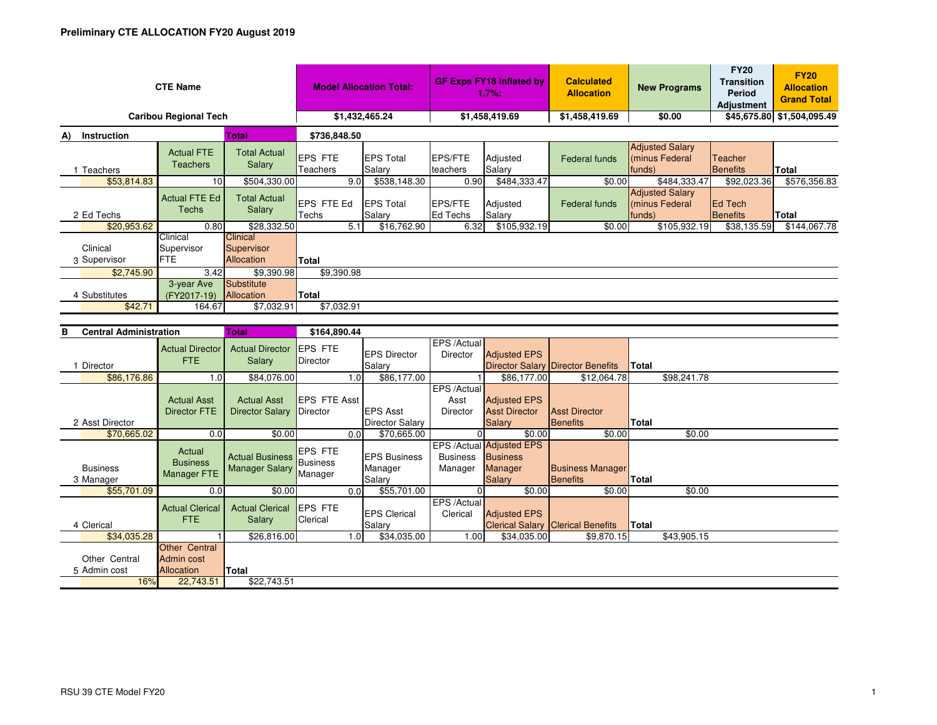| <b>CTE Name</b>                       | <b>Model Allocation Total:</b>       |                                                    | <b>GF Exps FY18 Inflated by</b><br>1.7%: |                            | <b>Calculated</b><br><b>Allocation</b> | <b>New Programs</b> | <b>FY20</b><br><b>Transition</b><br><b>Period</b><br><b>Adjustment</b> | <b>FY20</b><br><b>Allocation</b><br><b>Grand Total</b> |                                   |              |  |
|---------------------------------------|--------------------------------------|----------------------------------------------------|------------------------------------------|----------------------------|----------------------------------------|---------------------|------------------------------------------------------------------------|--------------------------------------------------------|-----------------------------------|--------------|--|
| <b>Caribou Regional Tech</b>          | \$1,432,465.24                       |                                                    | \$1,458,419.69                           |                            | \$1,458,419.69                         | \$0.00              |                                                                        | \$45,675.80 \$1,504,095.49                             |                                   |              |  |
| <b>Total</b><br>Instruction<br>A)     |                                      |                                                    | \$736,848.50                             |                            |                                        |                     |                                                                        |                                                        |                                   |              |  |
| Teachers                              | <b>Actual FTE</b><br><b>Teachers</b> | <b>Total Actual</b><br>Salary                      | <b>EPS FTE</b><br><b>Teachers</b>        | <b>EPS Total</b><br>Salary | <b>EPS/FTE</b><br>teachers             | Adjusted<br>Salary  | Federal funds                                                          | <b>Adjusted Salary</b><br>minus Federal<br>funds)      | <b>Teacher</b><br><b>Benefits</b> | Total        |  |
| \$53,814.83                           | 10                                   | \$504,330.00                                       | 9.0                                      | \$538,148.30               | 0.90                                   | \$484,333.47        | \$0.00                                                                 | \$484,333.47                                           | \$92,023.36                       | \$576,356.83 |  |
| 2 Ed Techs                            | <b>Actual FTE Ed</b><br>Techs        | <b>Total Actual</b><br><b>Salary</b>               | EPS FTE Ed<br>Techs                      | <b>EPS Total</b><br>Salary | <b>EPS/FTE</b><br>Ed Techs             | Adjusted<br>Salary  | Federal funds                                                          | <b>Adjusted Salary</b><br>(minus Federal<br>funds)     | <b>Ed Tech</b><br>Benefits        | <b>Total</b> |  |
| \$20,953.62                           | 0.80                                 | \$28,332.50                                        | 5.1                                      | \$16,762.90                | 6.32                                   | \$105,932.19        | \$0.00                                                                 | \$105,932.19                                           | \$38,135.59                       | \$144,067.78 |  |
| Clinical<br>3 Supervisor              | Clinical<br>Supervisor<br><b>FTE</b> | <b>Clinical</b><br>Supervisor<br><b>Allocation</b> | Total                                    |                            |                                        |                     |                                                                        |                                                        |                                   |              |  |
| \$2,745.90                            | 3.42                                 | \$9,390.98                                         | \$9,390.98                               |                            |                                        |                     |                                                                        |                                                        |                                   |              |  |
| 4 Substitutes<br>\$42.71              | 3-year Ave<br>(FY2017-19)<br>164.67  | Substitute<br>Allocation<br>\$7,032.91             | Total<br>\$7,032.91                      |                            |                                        |                     |                                                                        |                                                        |                                   |              |  |
| Tatal.<br>D<br>Control Administration |                                      |                                                    | 0.1000000                                |                            |                                        |                     |                                                                        |                                                        |                                   |              |  |

| <b>Central Administration</b><br>в |                                                         | Total                                           | \$164,890.44                          |      |                                 |                            |                                                        |                                          |              |             |  |
|------------------------------------|---------------------------------------------------------|-------------------------------------------------|---------------------------------------|------|---------------------------------|----------------------------|--------------------------------------------------------|------------------------------------------|--------------|-------------|--|
|                                    | <b>Actual Director</b><br><b>FTE</b>                    | <b>Actual Director</b><br>Salary                | <b>IEPS FTE</b><br>Director           |      | <b>EPS Director</b>             | EPS /Actual<br>Director    | <b>Adjusted EPS</b>                                    |                                          |              |             |  |
| Director                           |                                                         |                                                 |                                       |      | Salary                          |                            |                                                        | <b>Director Salary Director Benefits</b> | <b>Total</b> |             |  |
| \$86,176.86                        | 1.0                                                     | \$84,076.00                                     |                                       | 1.0  | \$86,177.00                     |                            | \$86,177.00                                            | \$12,064.78                              |              | \$98,241.78 |  |
|                                    |                                                         |                                                 |                                       |      |                                 | EPS /Actual                |                                                        |                                          |              |             |  |
|                                    | <b>Actual Asst</b>                                      | <b>Actual Asst</b>                              | <b>IEPS FTE Asst</b>                  |      |                                 | Asst                       | <b>Adjusted EPS</b>                                    |                                          |              |             |  |
|                                    | <b>Director FTE</b>                                     | <b>Director Salary</b>                          | Director                              |      | <b>EPS Asst</b>                 | <b>Director</b>            | <b>Asst Director</b>                                   | <b>Asst Director</b>                     |              |             |  |
| 2 Asst Director                    |                                                         |                                                 |                                       |      | <b>Director Salary</b>          |                            | <b>Salary</b>                                          | <b>Benefits</b>                          | Total        |             |  |
| \$70,665.02                        | 0.0                                                     | \$0.00                                          |                                       | 0.0  | \$70,665.00                     |                            | \$0.00                                                 | \$0.00                                   |              | \$0.00      |  |
| <b>Business</b>                    | Actual<br><b>Business</b><br>Manager FTE                | <b>Actual Business</b><br><b>Manager Salary</b> | <b>EPS FTE</b><br>Business<br>Manager |      | <b>IEPS Business</b><br>Manager | <b>Business</b><br>Manager | EPS /Actual Adjusted EPS<br><b>Business</b><br>Manager | <b>Business Manager</b>                  |              |             |  |
| 3 Manager                          |                                                         |                                                 |                                       |      | Salary                          |                            | <b>Salary</b>                                          | Benefits                                 | <b>Total</b> |             |  |
| \$55,701.09                        | 0.0                                                     | \$0.00                                          |                                       | 0.01 | \$55,701.00                     | $\Omega$                   | \$0.00                                                 | \$0.00                                   |              | \$0.00      |  |
| 4 Clerical                         | <b>Actual Clerical</b><br>FTE.                          | <b>Actual Clerical</b><br>Salary                | <b>EPS FTE</b><br>Clerical            |      | <b>EPS Clerical</b><br>Salary   | EPS /Actual<br>Clerical    | <b>Adjusted EPS</b>                                    | <b>Clerical Salary Clerical Benefits</b> | Total        |             |  |
| \$34,035.28                        |                                                         | \$26,816.00                                     |                                       | 1.0  | \$34,035.00                     | 1.00                       | \$34,035.00                                            | \$9,870.15                               |              | \$43,905.15 |  |
| Other Central<br>5 Admin cost      | <b>Other Central</b><br>Admin cost<br><b>Allocation</b> | Total                                           |                                       |      |                                 |                            |                                                        |                                          |              |             |  |
| 16%                                | 22,743.51                                               | \$22,743.51                                     |                                       |      |                                 |                            |                                                        |                                          |              |             |  |